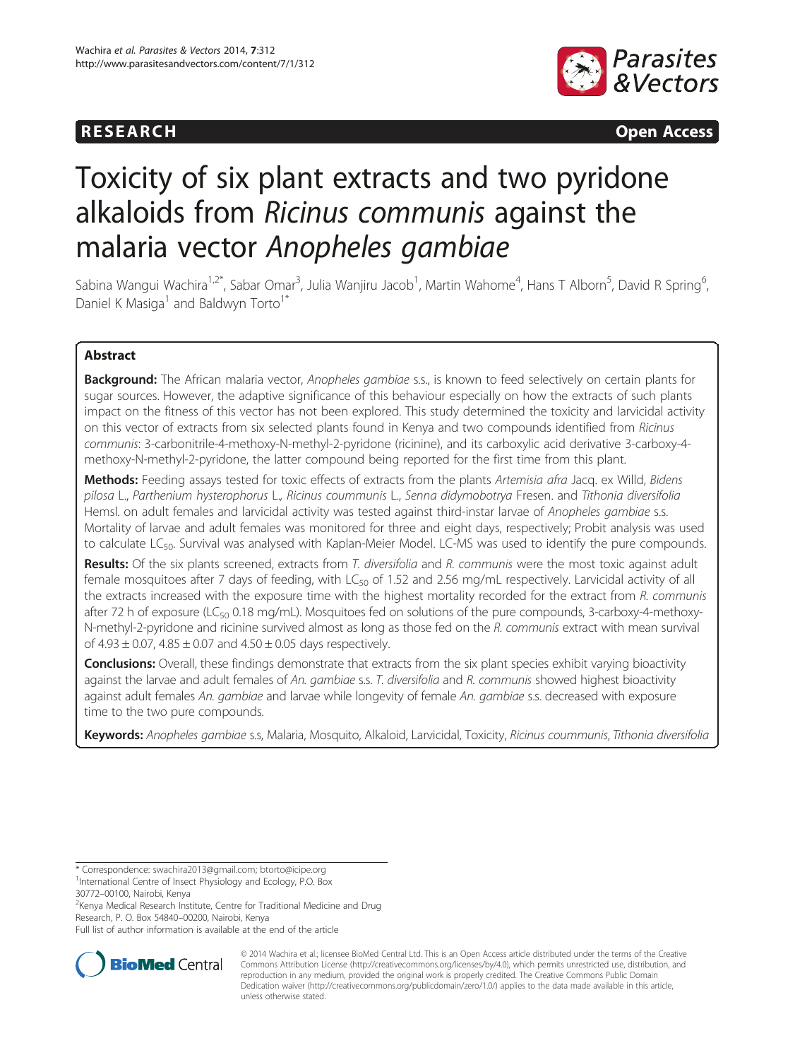## **RESEARCH RESEARCH CONSUMING ACCESS**



# Toxicity of six plant extracts and two pyridone alkaloids from Ricinus communis against the malaria vector Anopheles gambiae

Sabina Wangui Wachira<sup>1,2\*</sup>, Sabar Omar<sup>3</sup>, Julia Wanjiru Jacob<sup>1</sup>, Martin Wahome<sup>4</sup>, Hans T Alborn<sup>5</sup>, David R Spring<sup>6</sup> י<br>, Daniel K Masiga<sup>1</sup> and Baldwyn Torto<sup>1\*</sup>

### Abstract

Background: The African malaria vector, Anopheles gambiae s.s., is known to feed selectively on certain plants for sugar sources. However, the adaptive significance of this behaviour especially on how the extracts of such plants impact on the fitness of this vector has not been explored. This study determined the toxicity and larvicidal activity on this vector of extracts from six selected plants found in Kenya and two compounds identified from Ricinus communis: 3-carbonitrile-4-methoxy-N-methyl-2-pyridone (ricinine), and its carboxylic acid derivative 3-carboxy-4 methoxy-N-methyl-2-pyridone, the latter compound being reported for the first time from this plant.

Methods: Feeding assays tested for toxic effects of extracts from the plants Artemisia afra Jacq. ex Willd, Bidens pilosa L., Parthenium hysterophorus L., Ricinus coummunis L., Senna didymobotrya Fresen. and Tithonia diversifolia Hemsl. on adult females and larvicidal activity was tested against third-instar larvae of Anopheles gambiae s.s. Mortality of larvae and adult females was monitored for three and eight days, respectively; Probit analysis was used to calculate LC<sub>50</sub>. Survival was analysed with Kaplan-Meier Model. LC-MS was used to identify the pure compounds.

Results: Of the six plants screened, extracts from T. diversifolia and R. communis were the most toxic against adult female mosquitoes after 7 days of feeding, with LC<sub>50</sub> of 1.52 and 2.56 mg/mL respectively. Larvicidal activity of all the extracts increased with the exposure time with the highest mortality recorded for the extract from R. communis after 72 h of exposure (LC<sub>50</sub> 0.18 mg/mL). Mosquitoes fed on solutions of the pure compounds, 3-carboxy-4-methoxy-N-methyl-2-pyridone and ricinine survived almost as long as those fed on the R. communis extract with mean survival of  $4.93 \pm 0.07$ ,  $4.85 \pm 0.07$  and  $4.50 \pm 0.05$  days respectively.

Conclusions: Overall, these findings demonstrate that extracts from the six plant species exhibit varying bioactivity against the larvae and adult females of An. gambiae s.s. T. diversifolia and R. communis showed highest bioactivity against adult females An. gambiae and larvae while longevity of female An. gambiae s.s. decreased with exposure time to the two pure compounds.

Keywords: Anopheles gambiae s.s, Malaria, Mosquito, Alkaloid, Larvicidal, Toxicity, Ricinus coummunis, Tithonia diversifolia

\* Correspondence: [swachira2013@gmail.com](mailto:swachira2013@gmail.com); [btorto@icipe.org](mailto:btorto@icipe.org) <sup>1</sup>

<sup>1</sup>International Centre of Insect Physiology and Ecology, P.O. Box

<sup>30772</sup>–00100, Nairobi, Kenya <sup>2</sup>

<sup>2</sup> Kenya Medical Research Institute, Centre for Traditional Medicine and Drug Research, P. O. Box 54840–00200, Nairobi, Kenya

Full list of author information is available at the end of the article



© 2014 Wachira et al.; licensee BioMed Central Ltd. This is an Open Access article distributed under the terms of the Creative Commons Attribution License [\(http://creativecommons.org/licenses/by/4.0\)](http://creativecommons.org/licenses/by/4.0), which permits unrestricted use, distribution, and reproduction in any medium, provided the original work is properly credited. The Creative Commons Public Domain Dedication waiver [\(http://creativecommons.org/publicdomain/zero/1.0/](http://creativecommons.org/publicdomain/zero/1.0/)) applies to the data made available in this article, unless otherwise stated.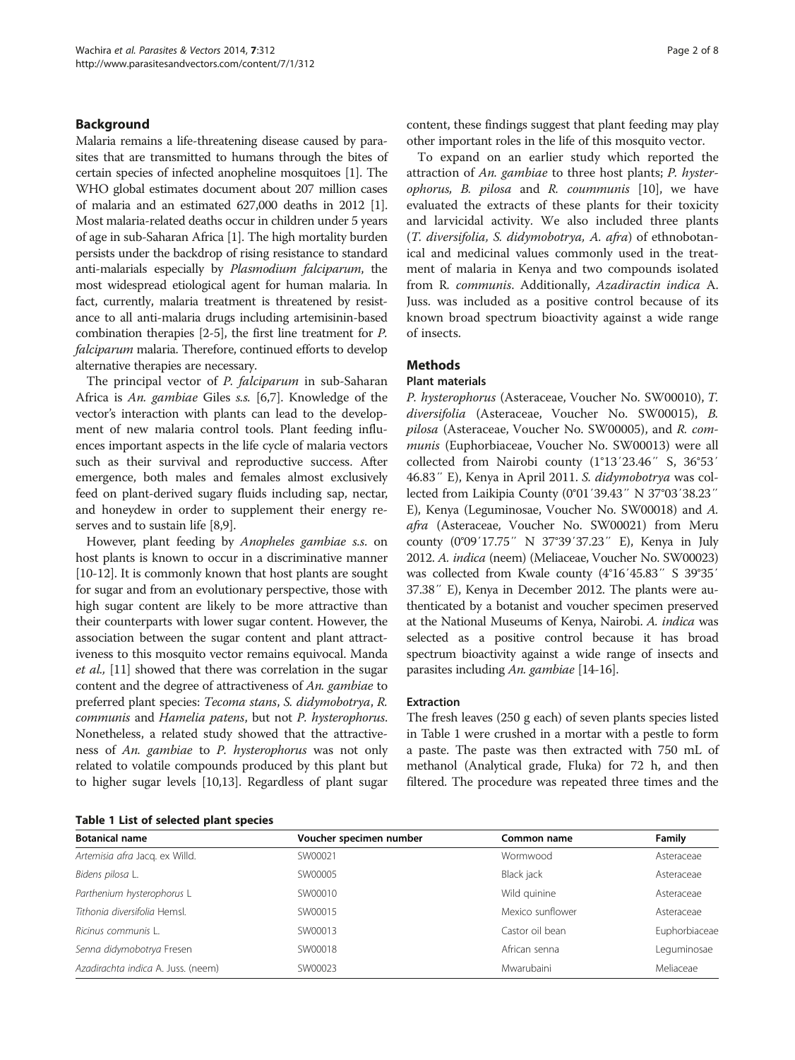#### Background

Malaria remains a life-threatening disease caused by parasites that are transmitted to humans through the bites of certain species of infected anopheline mosquitoes [[1](#page-6-0)]. The WHO global estimates document about 207 million cases of malaria and an estimated 627,000 deaths in 2012 [[1](#page-6-0)]. Most malaria-related deaths occur in children under 5 years of age in sub-Saharan Africa [\[1\]](#page-6-0). The high mortality burden persists under the backdrop of rising resistance to standard anti-malarials especially by Plasmodium falciparum, the most widespread etiological agent for human malaria. In fact, currently, malaria treatment is threatened by resistance to all anti-malaria drugs including artemisinin-based combination therapies [\[2-5](#page-6-0)], the first line treatment for P. falciparum malaria. Therefore, continued efforts to develop alternative therapies are necessary.

The principal vector of P. falciparum in sub-Saharan Africa is An. gambiae Giles s.s. [\[6,7](#page-6-0)]. Knowledge of the vector's interaction with plants can lead to the development of new malaria control tools. Plant feeding influences important aspects in the life cycle of malaria vectors such as their survival and reproductive success. After emergence, both males and females almost exclusively feed on plant-derived sugary fluids including sap, nectar, and honeydew in order to supplement their energy reserves and to sustain life [\[8,9\]](#page-6-0).

However, plant feeding by Anopheles gambiae s.s. on host plants is known to occur in a discriminative manner [[10](#page-6-0)-[12\]](#page-6-0). It is commonly known that host plants are sought for sugar and from an evolutionary perspective, those with high sugar content are likely to be more attractive than their counterparts with lower sugar content. However, the association between the sugar content and plant attractiveness to this mosquito vector remains equivocal. Manda et al., [\[11\]](#page-6-0) showed that there was correlation in the sugar content and the degree of attractiveness of An. gambiae to preferred plant species: Tecoma stans, S. didymobotrya, R. communis and Hamelia patens, but not P. hysterophorus. Nonetheless, a related study showed that the attractiveness of An. gambiae to P. hysterophorus was not only related to volatile compounds produced by this plant but to higher sugar levels [\[10,13\]](#page-6-0). Regardless of plant sugar content, these findings suggest that plant feeding may play other important roles in the life of this mosquito vector.

To expand on an earlier study which reported the attraction of An. gambiae to three host plants; P. hyster- $ophorus, B. pilosa and R. *column units* [10], we have$  $ophorus, B. pilosa and R. *column units* [10], we have$  $ophorus, B. pilosa and R. *column units* [10], we have$ evaluated the extracts of these plants for their toxicity and larvicidal activity. We also included three plants (T. diversifolia, S. didymobotrya, A. afra) of ethnobotanical and medicinal values commonly used in the treatment of malaria in Kenya and two compounds isolated from R. communis. Additionally, Azadiractin indica A. Juss. was included as a positive control because of its known broad spectrum bioactivity against a wide range of insects.

#### **Methods**

#### Plant materials

P. hysterophorus (Asteraceae, Voucher No. SW00010), T. diversifolia (Asteraceae, Voucher No. SW00015), B. pilosa (Asteraceae, Voucher No. SW00005), and R. communis (Euphorbiaceae, Voucher No. SW00013) were all collected from Nairobi county (1°13′23.46″ S, 36°53′ 46.83″ E), Kenya in April 2011. S. didymobotrya was collected from Laikipia County (0°01′39.43″ N 37°03′38.23″ E), Kenya (Leguminosae, Voucher No. SW00018) and A. afra (Asteraceae, Voucher No. SW00021) from Meru county (0°09′17.75″ N 37°39′37.23″ E), Kenya in July 2012. A. indica (neem) (Meliaceae, Voucher No. SW00023) was collected from Kwale county (4°16′45.83″ S 39°35′ 37.38″ E), Kenya in December 2012. The plants were authenticated by a botanist and voucher specimen preserved at the National Museums of Kenya, Nairobi. A. indica was selected as a positive control because it has broad spectrum bioactivity against a wide range of insects and parasites including An. gambiae [\[14-16\]](#page-6-0).

#### Extraction

The fresh leaves (250 g each) of seven plants species listed in Table 1 were crushed in a mortar with a pestle to form a paste. The paste was then extracted with 750 mL of methanol (Analytical grade, Fluka) for 72 h, and then filtered. The procedure was repeated three times and the

Table 1 List of selected plant species

| <b>Botanical name</b>              | Voucher specimen number | Common name      | Family        |
|------------------------------------|-------------------------|------------------|---------------|
| Artemisia afra Jacq. ex Willd.     | SW00021                 | Wormwood         | Asteraceae    |
| Bidens pilosa L.                   | SW00005                 | Black jack       | Asteraceae    |
| Parthenium hysterophorus L         | SW00010                 | Wild quinine     | Asteraceae    |
| Tithonia diversifolia Hemsl.       | SW00015                 | Mexico sunflower | Asteraceae    |
| Ricinus communis L.                | SW00013                 | Castor oil bean  | Euphorbiaceae |
| Senna didymobotrya Fresen          | SW00018                 | African senna    | Leguminosae   |
| Azadirachta indica A. Juss. (neem) | SW00023                 | Mwarubaini       | Meliaceae     |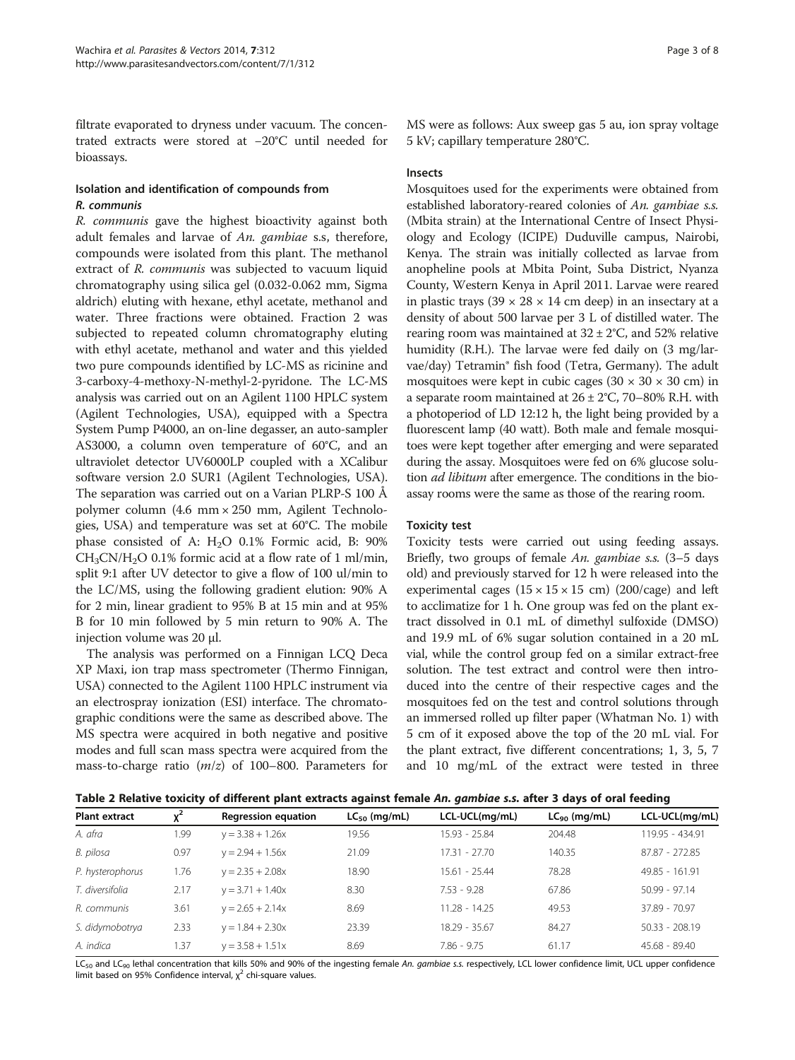<span id="page-2-0"></span>filtrate evaporated to dryness under vacuum. The concentrated extracts were stored at −20°C until needed for bioassays.

#### Isolation and identification of compounds from  $R$ . communis

R. communis R. communis gave the highest bioactivity against both adult females and larvae of An. gambiae s.s, therefore, compounds were isolated from this plant. The methanol extract of R. communis was subjected to vacuum liquid chromatography using silica gel (0.032-0.062 mm, Sigma aldrich) eluting with hexane, ethyl acetate, methanol and water. Three fractions were obtained. Fraction 2 was subjected to repeated column chromatography eluting with ethyl acetate, methanol and water and this yielded two pure compounds identified by LC-MS as ricinine and 3-carboxy-4-methoxy-N-methyl-2-pyridone. The LC-MS analysis was carried out on an Agilent 1100 HPLC system (Agilent Technologies, USA), equipped with a Spectra System Pump P4000, an on-line degasser, an auto-sampler AS3000, a column oven temperature of 60°C, and an ultraviolet detector UV6000LP coupled with a XCalibur software version 2.0 SUR1 (Agilent Technologies, USA). The separation was carried out on a Varian PLRP-S 100 Å polymer column (4.6 mm × 250 mm, Agilent Technologies, USA) and temperature was set at 60°C. The mobile phase consisted of A: H<sub>2</sub>O 0.1% Formic acid, B: 90%  $CH<sub>3</sub>CN/H<sub>2</sub>O$  0.1% formic acid at a flow rate of 1 ml/min, split 9:1 after UV detector to give a flow of 100 ul/min to the LC/MS, using the following gradient elution: 90% A for 2 min, linear gradient to 95% B at 15 min and at 95% B for 10 min followed by 5 min return to 90% A. The injection volume was 20 μl.

The analysis was performed on a Finnigan LCQ Deca XP Maxi, ion trap mass spectrometer (Thermo Finnigan, USA) connected to the Agilent 1100 HPLC instrument via an electrospray ionization (ESI) interface. The chromatographic conditions were the same as described above. The MS spectra were acquired in both negative and positive modes and full scan mass spectra were acquired from the mass-to-charge ratio  $(m/z)$  of 100–800. Parameters for MS were as follows: Aux sweep gas 5 au, ion spray voltage 5 kV; capillary temperature 280°C.

#### Insects

Mosquitoes used for the experiments were obtained from established laboratory-reared colonies of An. gambiae s.s. (Mbita strain) at the International Centre of Insect Physiology and Ecology (ICIPE) Duduville campus, Nairobi, Kenya. The strain was initially collected as larvae from anopheline pools at Mbita Point, Suba District, Nyanza County, Western Kenya in April 2011. Larvae were reared in plastic trays  $(39 \times 28 \times 14 \text{ cm} \text{ deep})$  in an insectary at a density of about 500 larvae per 3 L of distilled water. The rearing room was maintained at  $32 \pm 2^{\circ}C$ , and 52% relative humidity (R.H.). The larvae were fed daily on (3 mg/larvae/day) Tetramin® fish food (Tetra, Germany). The adult mosquitoes were kept in cubic cages  $(30 \times 30 \times 30 \text{ cm})$  in a separate room maintained at  $26 \pm 2^{\circ}$ C, 70–80% R.H. with a photoperiod of LD 12:12 h, the light being provided by a fluorescent lamp (40 watt). Both male and female mosquitoes were kept together after emerging and were separated during the assay. Mosquitoes were fed on 6% glucose solution *ad libitum* after emergence. The conditions in the bioassay rooms were the same as those of the rearing room.

#### Toxicity test

Toxicity tests were carried out using feeding assays. Briefly, two groups of female An. gambiae s.s. (3–5 days old) and previously starved for 12 h were released into the experimental cages  $(15 \times 15 \times 15 \text{ cm})$  (200/cage) and left to acclimatize for 1 h. One group was fed on the plant extract dissolved in 0.1 mL of dimethyl sulfoxide (DMSO) and 19.9 mL of 6% sugar solution contained in a 20 mL vial, while the control group fed on a similar extract-free solution. The test extract and control were then introduced into the centre of their respective cages and the mosquitoes fed on the test and control solutions through an immersed rolled up filter paper (Whatman No. 1) with 5 cm of it exposed above the top of the 20 mL vial. For the plant extract, five different concentrations; 1, 3, 5, 7 and 10 mg/mL of the extract were tested in three

|  | Table 2 Relative toxicity of different plant extracts against female An. gambiae s.s. after 3 days of oral feeding |  |  |
|--|--------------------------------------------------------------------------------------------------------------------|--|--|
|  |                                                                                                                    |  |  |

| <b>Plant extract</b> | $x^2$ | <b>Regression equation</b> | $LC_{50}$ (mg/mL) | LCL-UCL(mg/mL) | $LC_{90}$ (mg/mL) | LCL-UCL(mg/mL)   |
|----------------------|-------|----------------------------|-------------------|----------------|-------------------|------------------|
| A. afra              | 1.99  | $y = 3.38 + 1.26x$         | 19.56             | 15.93 - 25.84  | 204.48            | 119.95 - 434.91  |
| B. pilosa            | 0.97  | $y = 2.94 + 1.56x$         | 21.09             | 17.31 - 27.70  | 140.35            | 87.87 - 272.85   |
| P. hysterophorus     | 1.76  | $y = 2.35 + 2.08x$         | 18.90             | 15.61 - 25.44  | 78.28             | 49.85 - 161.91   |
| T. diversifolia      | 2.17  | $y = 3.71 + 1.40x$         | 8.30              | $7.53 - 9.28$  | 67.86             | $50.99 - 97.14$  |
| R. communis          | 3.61  | $y = 2.65 + 2.14x$         | 8.69              | 11.28 - 14.25  | 49.53             | 37.89 - 70.97    |
| S. didymobotrya      | 2.33  | $y = 1.84 + 2.30x$         | 23.39             | 18.29 - 35.67  | 84.27             | $50.33 - 208.19$ |
| A. indica            | 1.37  | $y = 3.58 + 1.51x$         | 8.69              | $7.86 - 9.75$  | 61.17             | 45.68 - 89.40    |

LC<sub>50</sub> and LC<sub>90</sub> lethal concentration that kills 50% and 90% of the ingesting female An. gambiae s.s. respectively, LCL lower confidence limit, UCL upper confidence limit based on 95% Confidence interval,  $\chi^2$  chi-square values.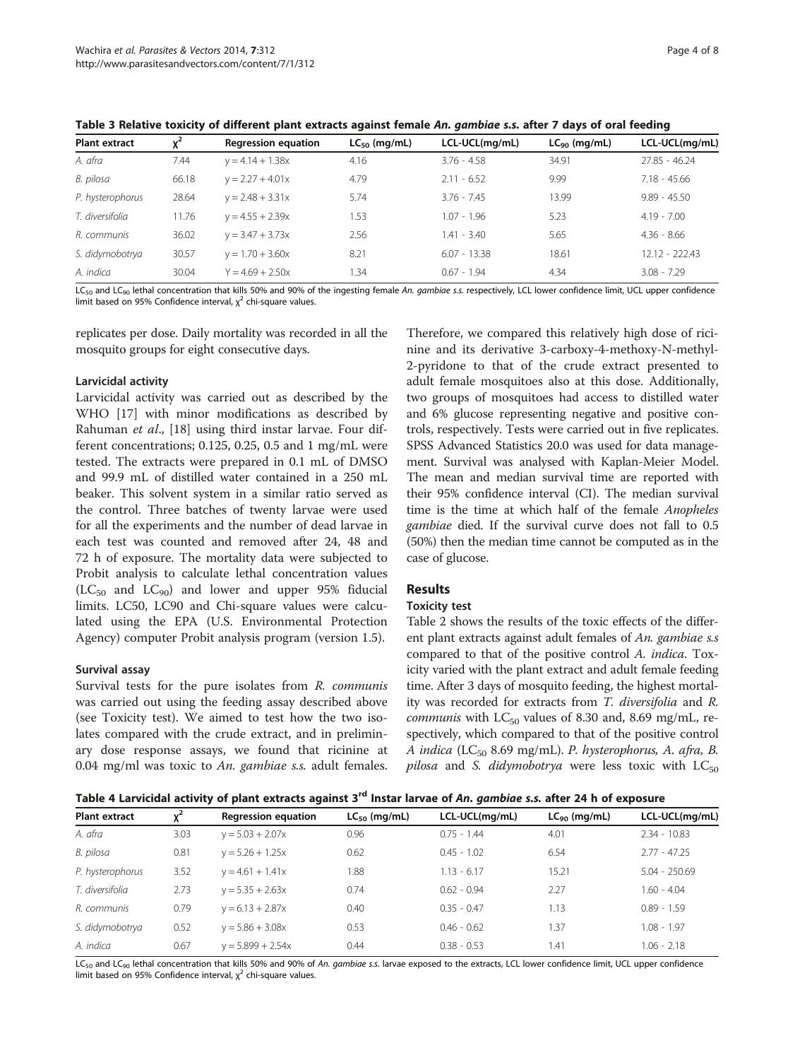<span id="page-3-0"></span>

|  | Table 3 Relative toxicity of different plant extracts against female An. gambiae s.s. after 7 days of oral feeding |  |  |
|--|--------------------------------------------------------------------------------------------------------------------|--|--|
|  |                                                                                                                    |  |  |

| <b>Plant extract</b> | $x^2$ | <b>Regression equation</b> | $LC_{50}$ (mg/mL) | LCL-UCL(mg/mL) | $LC_{90}$ (mg/mL) | LCL-UCL(mg/mL)  |
|----------------------|-------|----------------------------|-------------------|----------------|-------------------|-----------------|
| A. afra              | 7.44  | $y = 4.14 + 1.38x$         | 4.16              | $3.76 - 4.58$  | 34.91             | $27.85 - 46.24$ |
| B. pilosa            | 66.18 | $y = 2.27 + 4.01x$         | 4.79              | $2.11 - 6.52$  | 9.99              | $7.18 - 45.66$  |
| P. hysterophorus     | 28.64 | $y = 2.48 + 3.31x$         | 5.74              | $3.76 - 7.45$  | 13.99             | $9.89 - 45.50$  |
| T. diversifolia      | 11.76 | $y = 4.55 + 2.39x$         | 1.53              | $1.07 - 1.96$  | 5.23              | $4.19 - 7.00$   |
| R. communis          | 36.02 | $y = 3.47 + 3.73x$         | 2.56              | $1.41 - 3.40$  | 5.65              | $4.36 - 8.66$   |
| S. didymobotrya      | 30.57 | $y = 1.70 + 3.60x$         | 8.21              | $6.07 - 13.38$ | 18.61             | 12.12 - 222.43  |
| A. indica            | 30.04 | $Y = 4.69 + 2.50x$         | 1.34              | $0.67 - 1.94$  | 4.34              | $3.08 - 7.29$   |

LC<sub>50</sub> and LC<sub>90</sub> lethal concentration that kills 50% and 90% of the ingesting female An. *gambiae s.s.* respectively, LCL lower confidence limit, UCL upper confidence limit based on 95% Confidence interval,  $\chi^2$  chi-square values.

replicates per dose. Daily mortality was recorded in all the mosquito groups for eight consecutive days.

#### Larvicidal activity

Larvicidal activity was carried out as described by the WHO [\[17](#page-6-0)] with minor modifications as described by Rahuman et al., [\[18\]](#page-6-0) using third instar larvae. Four different concentrations; 0.125, 0.25, 0.5 and 1 mg/mL were tested. The extracts were prepared in 0.1 mL of DMSO and 99.9 mL of distilled water contained in a 250 mL beaker. This solvent system in a similar ratio served as the control. Three batches of twenty larvae were used for all the experiments and the number of dead larvae in each test was counted and removed after 24, 48 and 72 h of exposure. The mortality data were subjected to Probit analysis to calculate lethal concentration values  $(LC_{50}$  and  $LC_{90}$ ) and lower and upper 95% fiducial limits. LC50, LC90 and Chi-square values were calculated using the EPA (U.S. Environmental Protection Agency) computer Probit analysis program (version 1.5).

#### Survival assay

Survival tests for the pure isolates from R. communis was carried out using the feeding assay described above (see Toxicity test). We aimed to test how the two isolates compared with the crude extract, and in preliminary dose response assays, we found that ricinine at 0.04 mg/ml was toxic to An. gambiae s.s. adult females.

Therefore, we compared this relatively high dose of ricinine and its derivative 3-carboxy-4-methoxy-N-methyl-2-pyridone to that of the crude extract presented to adult female mosquitoes also at this dose. Additionally, two groups of mosquitoes had access to distilled water and 6% glucose representing negative and positive controls, respectively. Tests were carried out in five replicates. SPSS Advanced Statistics 20.0 was used for data management. Survival was analysed with Kaplan-Meier Model. The mean and median survival time are reported with their 95% confidence interval (CI). The median survival time is the time at which half of the female Anopheles gambiae died. If the survival curve does not fall to 0.5 (50%) then the median time cannot be computed as in the case of glucose.

#### Results

#### Toxicity test

Table [2](#page-2-0) shows the results of the toxic effects of the different plant extracts against adult females of An. gambiae s.s compared to that of the positive control A. indica. Toxicity varied with the plant extract and adult female feeding time. After 3 days of mosquito feeding, the highest mortality was recorded for extracts from T. diversifolia and R. *communis* with  $LC_{50}$  values of 8.30 and, 8.69 mg/mL, respectively, which compared to that of the positive control A indica ( $LC_{50}$  8.69 mg/mL). P. hysterophorus, A. afra, B. pilosa and S. didymobotrya were less toxic with  $LC_{50}$ 

|  | Table 4 Larvicidal activity of plant extracts against 3 <sup>rd</sup> Instar larvae of An. gambiae s.s. after 24 h of exposure |  |  |  |
|--|--------------------------------------------------------------------------------------------------------------------------------|--|--|--|
|  |                                                                                                                                |  |  |  |

|                      |       | -                          |                   |                |                   |                 |
|----------------------|-------|----------------------------|-------------------|----------------|-------------------|-----------------|
| <b>Plant extract</b> | $x^2$ | <b>Regression equation</b> | $LC_{50}$ (mg/mL) | LCL-UCL(mg/mL) | $LC_{90}$ (mg/mL) | LCL-UCL(mg/mL)  |
| A. afra              | 3.03  | $y = 5.03 + 2.07x$         | 0.96              | $0.75 - 1.44$  | 4.01              | $2.34 - 10.83$  |
| B. pilosa            | 0.81  | $y = 5.26 + 1.25x$         | 0.62              | $0.45 - 1.02$  | 6.54              | $2.77 - 47.25$  |
| P. hysterophorus     | 3.52  | $y = 4.61 + 1.41x$         | 1.88              | $1.13 - 6.17$  | 15.21             | $5.04 - 250.69$ |
| T. diversifolia      | 2.73  | $y = 5.35 + 2.63x$         | 0.74              | $0.62 - 0.94$  | 2.27              | 1.60 - 4.04     |
| R. communis          | 0.79  | $y = 6.13 + 2.87x$         | 0.40              | $0.35 - 0.47$  | 1.13              | $0.89 - 1.59$   |
| S. didymobotrya      | 0.52  | $y = 5.86 + 3.08x$         | 0.53              | $0.46 - 0.62$  | 1.37              | $1.08 - 1.97$   |
| A. indica            | 0.67  | $y = 5.899 + 2.54x$        | 0.44              | $0.38 - 0.53$  | 1.41              | $1.06 - 2.18$   |

LC<sub>50</sub> and LC<sub>90</sub> lethal concentration that kills 50% and 90% of An. gambiae s.s. larvae exposed to the extracts, LCL lower confidence limit, UCL upper confidence limit based on 95% Confidence interval,  $\chi^2$  chi-square values.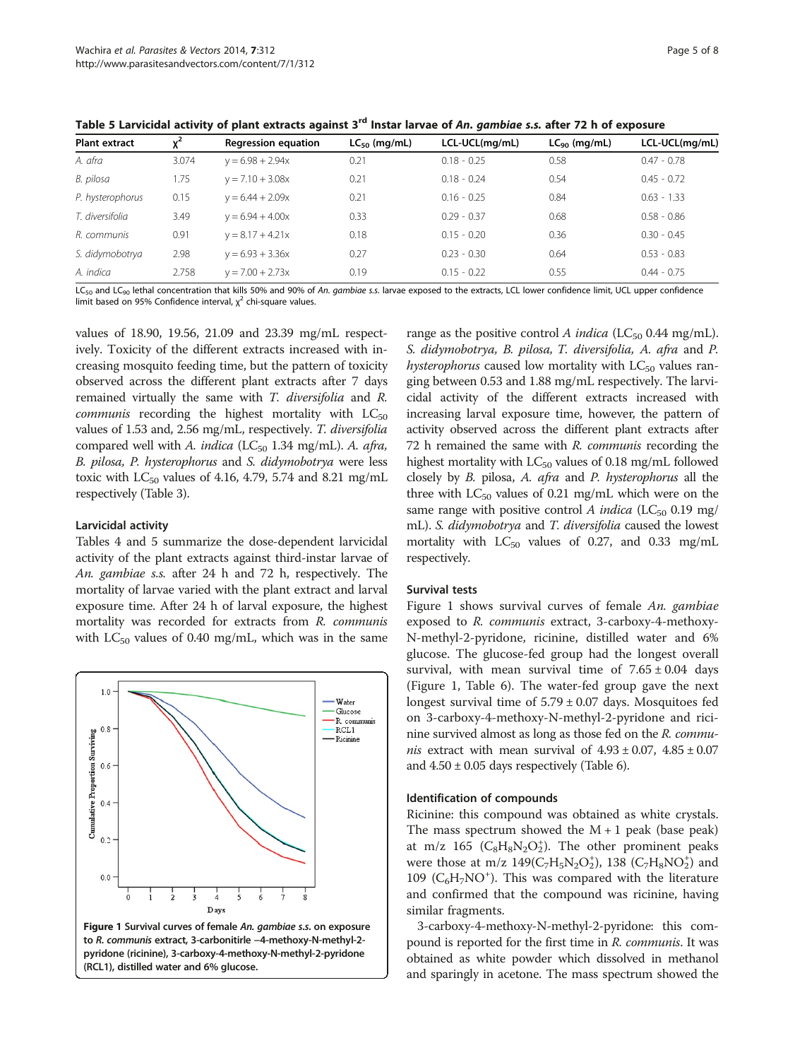| <b>Plant extract</b> | v     | <b>Regression equation</b> | $LC_{50}$ (mg/mL) | LCL-UCL(mg/mL) | $LC_{90}$ (mg/mL) | LCL-UCL(mg/mL) |
|----------------------|-------|----------------------------|-------------------|----------------|-------------------|----------------|
| A. afra              | 3.074 | $y = 6.98 + 2.94x$         | 0.21              | $0.18 - 0.25$  | 0.58              | $0.47 - 0.78$  |
| B. pilosa            | 1.75  | $y = 7.10 + 3.08x$         | 0.21              | $0.18 - 0.24$  | 0.54              | $0.45 - 0.72$  |
| P. hysterophorus     | 0.15  | $y = 6.44 + 2.09x$         | 0.21              | $0.16 - 0.25$  | 0.84              | $0.63 - 1.33$  |
| T. diversifolia      | 3.49  | $y = 6.94 + 4.00x$         | 0.33              | $0.29 - 0.37$  | 0.68              | $0.58 - 0.86$  |
| R. communis          | 0.91  | $y = 8.17 + 4.21x$         | 0.18              | $0.15 - 0.20$  | 0.36              | $0.30 - 0.45$  |
| S. didymobotrya      | 2.98  | $y = 6.93 + 3.36x$         | 0.27              | $0.23 - 0.30$  | 0.64              | $0.53 - 0.83$  |
| A. indica            | 2.758 | $y = 7.00 + 2.73x$         | 0.19              | $0.15 - 0.22$  | 0.55              | $0.44 - 0.75$  |

Table 5 Larvicidal activity of plant extracts against 3<sup>rd</sup> Instar larvae of An. gambiae s.s. after 72 h of exposure

LC<sub>50</sub> and LC<sub>90</sub> lethal concentration that kills 50% and 90% of An. gambiae s.s. larvae exposed to the extracts. LCL lower confidence limit, UCL upper confidence limit based on 95% Confidence interval,  $\chi^2$  chi-square values.

values of 18.90, 19.56, 21.09 and 23.39 mg/mL respectively. Toxicity of the different extracts increased with increasing mosquito feeding time, but the pattern of toxicity observed across the different plant extracts after 7 days remained virtually the same with T. diversifolia and R. *communis* recording the highest mortality with  $LC_{50}$ values of 1.53 and, 2.56 mg/mL, respectively. T. diversifolia compared well with A. indica ( $LC_{50}$  1.34 mg/mL). A. afra, B. pilosa, P. hysterophorus and S. didymobotrya were less toxic with  $LC_{50}$  values of 4.16, 4.79, 5.74 and 8.21 mg/mL respectively (Table [3\)](#page-3-0).

#### Larvicidal activity

Tables [4](#page-3-0) and 5 summarize the dose-dependent larvicidal activity of the plant extracts against third-instar larvae of An. gambiae s.s. after 24 h and 72 h, respectively. The mortality of larvae varied with the plant extract and larval exposure time. After 24 h of larval exposure, the highest mortality was recorded for extracts from R. communis with  $LC_{50}$  values of 0.40 mg/mL, which was in the same



pyridone (ricinine), 3-carboxy-4-methoxy-N-methyl-2-pyridone (RCL1), distilled water and 6% glucose.

range as the positive control A *indica* (LC<sub>50</sub> 0.44 mg/mL). S. didymobotrya, B. pilosa, T. diversifolia, A. afra and P. hysterophorus caused low mortality with  $LC_{50}$  values ranging between 0.53 and 1.88 mg/mL respectively. The larvicidal activity of the different extracts increased with increasing larval exposure time, however, the pattern of activity observed across the different plant extracts after 72 h remained the same with R. communis recording the highest mortality with  $LC_{50}$  values of 0.18 mg/mL followed closely by B. pilosa, A. afra and P. hysterophorus all the three with  $LC_{50}$  values of 0.21 mg/mL which were on the same range with positive control A indica (LC $_{50}$  0.19 mg/ mL). S. didymobotrya and T. diversifolia caused the lowest mortality with  $LC_{50}$  values of 0.27, and 0.33 mg/mL respectively.

#### Survival tests

Figure 1 shows survival curves of female An. gambiae exposed to R. communis extract, 3-carboxy-4-methoxy-N-methyl-2-pyridone, ricinine, distilled water and 6% glucose. The glucose-fed group had the longest overall survival, with mean survival time of  $7.65 \pm 0.04$  days (Figure 1, Table [6](#page-5-0)). The water-fed group gave the next longest survival time of  $5.79 \pm 0.07$  days. Mosquitoes fed on 3-carboxy-4-methoxy-N-methyl-2-pyridone and ricinine survived almost as long as those fed on the R. communis extract with mean survival of  $4.93 \pm 0.07$ ,  $4.85 \pm 0.07$ and  $4.50 \pm 0.05$  days respectively (Table [6\)](#page-5-0).

#### Identification of compounds

Ricinine: this compound was obtained as white crystals. The mass spectrum showed the  $M + 1$  peak (base peak) at m/z 165  $(C_8H_8N_2O_2^*)$ . The other prominent peaks were those at m/z  $149(C_7H_5N_2O_2^*)$ , 138  $(C_7H_8NO_2^*)$  and 109 ( $C_6H_7NO^+$ ). This was compared with the literature and confirmed that the compound was ricinine, having similar fragments.

3-carboxy-4-methoxy-N-methyl-2-pyridone: this compound is reported for the first time in R. communis. It was obtained as white powder which dissolved in methanol and sparingly in acetone. The mass spectrum showed the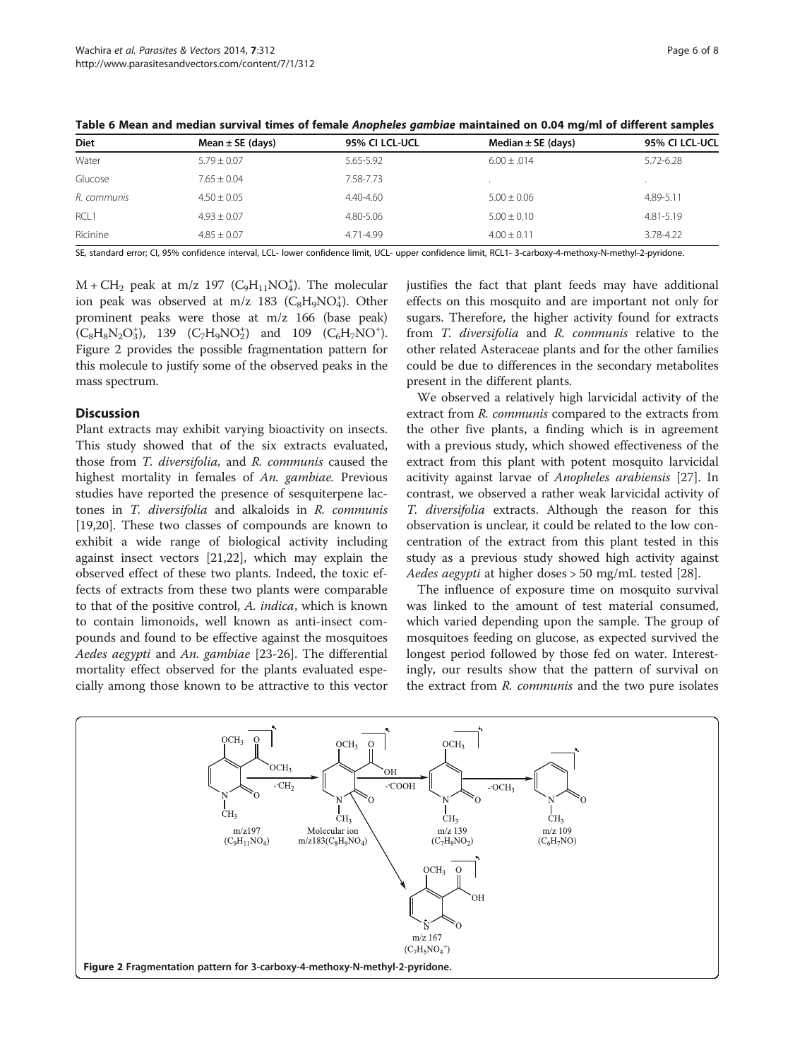| <b>Diet</b>      | Mean $\pm$ SE (days) | 95% CI LCL-UCL                 | Median $\pm$ SE (days) | 95% CI LCL-UCL |
|------------------|----------------------|--------------------------------|------------------------|----------------|
| Water            | $5.79 + 0.07$        | 5.65-5.92                      | $6.00 + 0.014$         | 5.72-6.28      |
| Glucose          | $7.65 + 0.04$        | 7.58-7.73                      |                        |                |
| R. communis      | $4.50 + 0.05$        | 4.40-4.60                      | $5.00 + 0.06$          | 4.89-5.11      |
| RCL <sub>1</sub> | $4.93 + 0.07$        | 4.80-5.06                      | $5.00 + 0.10$          | 4.81-5.19      |
| Ricinine         | $4.85 + 0.07$        | 4.71-4.99                      | $4.00 + 0.11$          | 3.78-4.22      |
|                  | .<br>$-1$            | $\sim$ $\sim$<br>$\sim$ $\sim$ |                        |                |

<span id="page-5-0"></span>Table 6 Mean and median survival times of female Anopheles gambiae maintained on 0.04 mg/ml of different samples

SE, standard error; CI, 95% confidence interval, LCL- lower confidence limit, UCL- upper confidence limit, RCL1- 3-carboxy-4-methoxy-N-methyl-2-pyridone.

 $M + CH_2$  peak at m/z 197 (C<sub>9</sub>H<sub>11</sub>NO<sub>4</sub><sup>1</sup>). The molecular ion peak was observed at m/z 183  $(C_8H_9NO_4^+)$ . Other prominent peaks were those at m/z 166 (base peak)  $(C_8H_8N_2O_3^*)$ , 139  $(C_7H_9NO_2^*)$  and 109  $(C_6H_7NO^*)$ . Figure 2 provides the possible fragmentation pattern for this molecule to justify some of the observed peaks in the mass spectrum.

#### **Discussion**

Plant extracts may exhibit varying bioactivity on insects. This study showed that of the six extracts evaluated, those from T. diversifolia, and R. communis caused the highest mortality in females of An. gambiae. Previous studies have reported the presence of sesquiterpene lactones in T. diversifolia and alkaloids in R. communis [[19,20\]](#page-6-0). These two classes of compounds are known to exhibit a wide range of biological activity including against insect vectors [[21,22\]](#page-6-0), which may explain the observed effect of these two plants. Indeed, the toxic effects of extracts from these two plants were comparable to that of the positive control, A. indica, which is known to contain limonoids, well known as anti-insect compounds and found to be effective against the mosquitoes Aedes aegypti and An. gambiae [\[23](#page-6-0)-[26\]](#page-6-0). The differential mortality effect observed for the plants evaluated especially among those known to be attractive to this vector justifies the fact that plant feeds may have additional effects on this mosquito and are important not only for sugars. Therefore, the higher activity found for extracts from T. diversifolia and R. communis relative to the other related Asteraceae plants and for the other families could be due to differences in the secondary metabolites present in the different plants.

We observed a relatively high larvicidal activity of the extract from R. communis compared to the extracts from the other five plants, a finding which is in agreement with a previous study, which showed effectiveness of the extract from this plant with potent mosquito larvicidal acitivity against larvae of Anopheles arabiensis [\[27\]](#page-6-0). In contrast, we observed a rather weak larvicidal activity of T. diversifolia extracts. Although the reason for this observation is unclear, it could be related to the low concentration of the extract from this plant tested in this study as a previous study showed high activity against Aedes aegypti at higher doses > 50 mg/mL tested [\[28\]](#page-7-0).

The influence of exposure time on mosquito survival was linked to the amount of test material consumed, which varied depending upon the sample. The group of mosquitoes feeding on glucose, as expected survived the longest period followed by those fed on water. Interestingly, our results show that the pattern of survival on the extract from R. communis and the two pure isolates

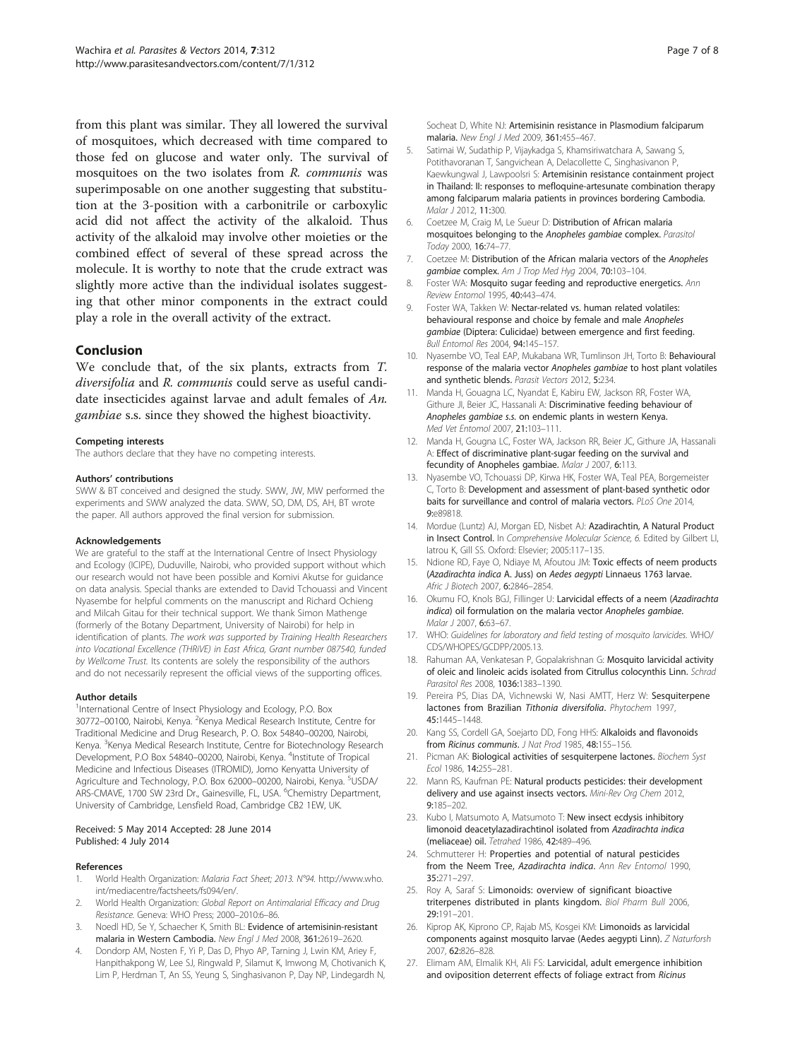<span id="page-6-0"></span>from this plant was similar. They all lowered the survival of mosquitoes, which decreased with time compared to those fed on glucose and water only. The survival of mosquitoes on the two isolates from R. communis was superimposable on one another suggesting that substitution at the 3-position with a carbonitrile or carboxylic acid did not affect the activity of the alkaloid. Thus activity of the alkaloid may involve other moieties or the combined effect of several of these spread across the molecule. It is worthy to note that the crude extract was slightly more active than the individual isolates suggesting that other minor components in the extract could play a role in the overall activity of the extract.

#### Conclusion

We conclude that, of the six plants, extracts from T. diversifolia and R. communis could serve as useful candidate insecticides against larvae and adult females of An. gambiae s.s. since they showed the highest bioactivity.

#### Competing interests

The authors declare that they have no competing interests.

#### Authors' contributions

SWW & BT conceived and designed the study. SWW, JW, MW performed the experiments and SWW analyzed the data. SWW, SO, DM, DS, AH, BT wrote the paper. All authors approved the final version for submission.

#### Acknowledgements

We are grateful to the staff at the International Centre of Insect Physiology and Ecology (ICIPE), Duduville, Nairobi, who provided support without which our research would not have been possible and Komivi Akutse for guidance on data analysis. Special thanks are extended to David Tchouassi and Vincent Nyasembe for helpful comments on the manuscript and Richard Ochieng and Milcah Gitau for their technical support. We thank Simon Mathenge (formerly of the Botany Department, University of Nairobi) for help in identification of plants. The work was supported by Training Health Researchers into Vocational Excellence (THRiVE) in East Africa, Grant number 087540, funded by Wellcome Trust. Its contents are solely the responsibility of the authors and do not necessarily represent the official views of the supporting offices.

#### Author details

<sup>1</sup>International Centre of Insect Physiology and Ecology, P.O. Box 30772-00100, Nairobi, Kenya. <sup>2</sup>Kenya Medical Research Institute, Centre for Traditional Medicine and Drug Research, P. O. Box 54840–00200, Nairobi, Kenya. <sup>3</sup>Kenya Medical Research Institute, Centre for Biotechnology Research Development, P.O Box 54840-00200, Nairobi, Kenya. <sup>4</sup>Institute of Tropical Medicine and Infectious Diseases (ITROMID), Jomo Kenyatta University of Agriculture and Technology, P.O. Box 62000-00200, Nairobi, Kenya. <sup>5</sup>USDA/ ARS-CMAVE, 1700 SW 23rd Dr., Gainesville, FL, USA. <sup>6</sup>Chemistry Department, University of Cambridge, Lensfield Road, Cambridge CB2 1EW, UK.

#### Received: 5 May 2014 Accepted: 28 June 2014 Published: 4 July 2014

#### References

- 1. World Health Organization: Malaria Fact Sheet; 2013. N°94. [http://www.who.](http://www.who.int/mediacentre/factsheets/fs094/en/) [int/mediacentre/factsheets/fs094/en/](http://www.who.int/mediacentre/factsheets/fs094/en/).
- 2. World Health Organization: Global Report on Antimalarial Efficacy and Drug Resistance. Geneva: WHO Press; 2000–2010:6–86.
- 3. Noedl HD, Se Y, Schaecher K, Smith BL: Evidence of artemisinin-resistant malaria in Western Cambodia. New Engl J Med 2008, 361:2619–2620.
- 4. Dondorp AM, Nosten F, Yi P, Das D, Phyo AP, Tarning J, Lwin KM, Ariey F, Hanpithakpong W, Lee SJ, Ringwald P, Silamut K, Imwong M, Chotivanich K, Lim P, Herdman T, An SS, Yeung S, Singhasivanon P, Day NP, Lindegardh N,

Socheat D, White NJ: Artemisinin resistance in Plasmodium falciparum malaria. New Engl J Med 2009, 361:455–467.

- 5. Satimai W, Sudathip P, Vijaykadga S, Khamsiriwatchara A, Sawang S, Potithavoranan T, Sangvichean A, Delacollette C, Singhasivanon P, Kaewkungwal J, Lawpoolsri S: Artemisinin resistance containment project in Thailand: II: responses to mefloquine-artesunate combination therapy among falciparum malaria patients in provinces bordering Cambodia. Malar J 2012, 11:300.
- 6. Coetzee M, Craig M, Le Sueur D: Distribution of African malaria mosquitoes belonging to the Anopheles gambiae complex. Parasitol Today 2000, 16:74–77.
- 7. Coetzee M: Distribution of the African malaria vectors of the Anopheles gambiae complex. Am J Trop Med Hyg 2004, 70:103–104.
- 8. Foster WA: Mosquito sugar feeding and reproductive energetics. Ann Review Entomol 1995, 40:443–474.
- 9. Foster WA, Takken W: Nectar-related vs. human related volatiles: behavioural response and choice by female and male Anopheles gambiae (Diptera: Culicidae) between emergence and first feeding. Bull Entomol Res 2004, 94:145–157.
- 10. Nyasembe VO, Teal EAP, Mukabana WR, Tumlinson JH, Torto B: Behavioural response of the malaria vector Anopheles gambiae to host plant volatiles and synthetic blends. Parasit Vectors 2012, 5:234.
- 11. Manda H, Gouagna LC, Nyandat E, Kabiru EW, Jackson RR, Foster WA, Githure JI, Beier JC, Hassanali A: Discriminative feeding behaviour of Anopheles gambiae s.s. on endemic plants in western Kenya. Med Vet Entomol 2007, 21:103–111.
- 12. Manda H, Gougna LC, Foster WA, Jackson RR, Beier JC, Githure JA, Hassanali A: Effect of discriminative plant-sugar feeding on the survival and fecundity of Anopheles gambiae. Malar J 2007, 6:113.
- 13. Nyasembe VO, Tchouassi DP, Kirwa HK, Foster WA, Teal PEA, Borgemeister C, Torto B: Development and assessment of plant-based synthetic odor baits for surveillance and control of malaria vectors. PLoS One 2014, 9:e89818.
- 14. Mordue (Luntz) AJ, Morgan ED, Nisbet AJ: Azadirachtin, A Natural Product in Insect Control. In Comprehensive Molecular Science, 6. Edited by Gilbert LI. Iatrou K, Gill SS. Oxford: Elsevier; 2005:117–135.
- 15. Ndione RD, Faye O, Ndiaye M, Afoutou JM: Toxic effects of neem products (Azadirachta indica A. Juss) on Aedes aegypti Linnaeus 1763 larvae. Afric J Biotech 2007, 6:2846–2854.
- 16. Okumu FO, Knols BGJ, Fillinger U: Larvicidal effects of a neem (Azadirachta indica) oil formulation on the malaria vector Anopheles gambiae. Malar J 2007, 6:63-67.
- 17. WHO: Guidelines for laboratory and field testing of mosquito larvicides. WHO/ CDS/WHOPES/GCDPP/2005.13.
- 18. Rahuman AA, Venkatesan P, Gopalakrishnan G: Mosquito larvicidal activity of oleic and linoleic acids isolated from Citrullus colocynthis Linn. Schrad Parasitol Res 2008, 1036:1383–1390.
- 19. Pereira PS, Dias DA, Vichnewski W, Nasi AMTT, Herz W: Sesquiterpene lactones from Brazilian Tithonia diversifolia. Phytochem 1997, 45:1445–1448.
- 20. Kang SS, Cordell GA, Soejarto DD, Fong HHS: Alkaloids and flavonoids from Ricinus communis. J Nat Prod 1985, 48:155-156.
- 21. Picman AK: Biological activities of sesquiterpene lactones. Biochem Syst Ecol 1986, 14:255–281.
- 22. Mann RS, Kaufman PE: Natural products pesticides: their development delivery and use against insects vectors. Mini-Rev Org Chem 2012, 9:185–202.
- 23. Kubo I, Matsumoto A, Matsumoto T: New insect ecdysis inhibitory limonoid deacetylazadirachtinol isolated from Azadirachta indica (meliaceae) oil. Tetrahed 1986, 42:489–496.
- Schmutterer H: Properties and potential of natural pesticides from the Neem Tree, Azadirachta indica. Ann Rev Entomol 1990, 35:271–297.
- 25. Roy A, Saraf S: Limonoids: overview of significant bioactive triterpenes distributed in plants kingdom. Biol Pharm Bull 2006, 29:191–201.
- 26. Kiprop AK, Kiprono CP, Rajab MS, Kosgei KM: Limonoids as larvicidal components against mosquito larvae (Aedes aegypti Linn). Z Naturforsh 2007, 62:826–828.
- 27. Elimam AM, Elmalik KH, Ali FS: Larvicidal, adult emergence inhibition and oviposition deterrent effects of foliage extract from Ricinus